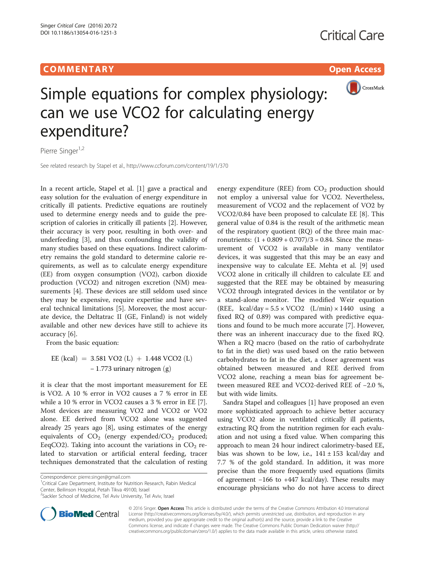# COMM EN TARY Open Access



Simple equations for complex physiology: can we use VCO2 for calculating energy expenditure?

Pierre Singer<sup>1,2</sup>

See related research by Stapel et al.,<http://www.ccforum.com/content/19/1/370>

In a recent article, Stapel et al. [[1\]](#page-1-0) gave a practical and easy solution for the evaluation of energy expenditure in critically ill patients. Predictive equations are routinely used to determine energy needs and to guide the prescription of calories in critically ill patients [\[2](#page-1-0)]. However, their accuracy is very poor, resulting in both over- and underfeeding [\[3\]](#page-1-0), and thus confounding the validity of many studies based on these equations. Indirect calorimetry remains the gold standard to determine calorie requirements, as well as to calculate energy expenditure (EE) from oxygen consumption (VO2), carbon dioxide production (VCO2) and nitrogen excretion (NM) measurements [[4\]](#page-1-0). These devices are still seldom used since they may be expensive, require expertise and have several technical limitations [[5\]](#page-1-0). Moreover, the most accurate device, the Deltatrac II (GE, Finland) is not widely available and other new devices have still to achieve its accuracy [\[6](#page-1-0)].

From the basic equation:

EE (kcal) = 3.581 VO2 (L) + 1.448 VCO2 (L)  $-1.773$  urinary nitrogen  $(g)$ 

it is clear that the most important measurement for EE is VO2. A 10 % error in VO2 causes a 7 % error in EE while a 10 % error in VCO2 causes a 3 % error in EE [\[7](#page-1-0)]. Most devices are measuring VO2 and VCO2 or VO2 alone. EE derived from VCO2 alone was suggested already 25 years ago [\[8\]](#page-1-0), using estimates of the energy equivalents of  $CO<sub>2</sub>$  (energy expended/ $CO<sub>2</sub>$  produced; EeqCO2). Taking into account the variations in  $CO<sub>2</sub>$  related to starvation or artificial enteral feeding, tracer techniques demonstrated that the calculation of resting

<sup>1</sup>Critical Care Department, Institute for Nutrition Research, Rabin Medical Center, Beilinson Hospital, Petah Tikva 49100, Israel

<sup>&</sup>lt;sup>2</sup>Sackler School of Medicine, Tel Aviv University, Tel Aviv, Israel



energy expenditure (REE) from  $CO<sub>2</sub>$  production should not employ a universal value for VCO2. Nevertheless, measurement of VCO2 and the replacement of VO2 by VCO2/0.84 have been proposed to calculate EE [\[8\]](#page-1-0). This general value of 0.84 is the result of the arithmetic mean of the respiratory quotient (RQ) of the three main macronutrients:  $(1 + 0.809 + 0.707)/3 = 0.84$ . Since the measurement of VCO2 is available in many ventilator devices, it was suggested that this may be an easy and inexpensive way to calculate EE. Mehta et al. [\[9](#page-1-0)] used VCO2 alone in critically ill children to calculate EE and suggested that the REE may be obtained by measuring VCO2 through integrated devices in the ventilator or by a stand-alone monitor. The modified Weir equation (REE, kcal/day =  $5.5 \times \text{VCO2}$  (L/min)  $\times$  1440 using a fixed RQ of 0.89) was compared with predictive equations and found to be much more accurate [\[7](#page-1-0)]. However, there was an inherent inaccuracy due to the fixed RQ. When a RQ macro (based on the ratio of carbohydrate to fat in the diet) was used based on the ratio between carbohydrates to fat in the diet, a closer agreement was obtained between measured and REE derived from VCO2 alone, reaching a mean bias for agreement between measured REE and VCO2-derived REE of −2.0 %, but with wide limits.

Sandra Stapel and colleagues [\[1](#page-1-0)] have proposed an even more sophisticated approach to achieve better accuracy using VCO2 alone in ventilated critically ill patients, extracting RQ from the nutrition regimen for each evaluation and not using a fixed value. When comparing this approach to mean 24 hour indirect calorimetry-based EE, bias was shown to be low, i.e.,  $141 \pm 153$  kcal/day and 7.7 % of the gold standard. In addition, it was more precise than the more frequently used equations (limits of agreement −166 to +447 kcal/day). These results may encourage physicians who do not have access to direct

© 2016 Singer. Open Access This article is distributed under the terms of the Creative Commons Attribution 4.0 International License ([http://creativecommons.org/licenses/by/4.0/\)](http://creativecommons.org/licenses/by/4.0/), which permits unrestricted use, distribution, and reproduction in any medium, provided you give appropriate credit to the original author(s) and the source, provide a link to the Creative Commons license, and indicate if changes were made. The Creative Commons Public Domain Dedication waiver ([http://](http://creativecommons.org/publicdomain/zero/1.0/) [creativecommons.org/publicdomain/zero/1.0/\)](http://creativecommons.org/publicdomain/zero/1.0/) applies to the data made available in this article, unless otherwise stated.

Correspondence: [pierre.singer@gmail.com](mailto:pierre.singer@gmail.com) <sup>1</sup>